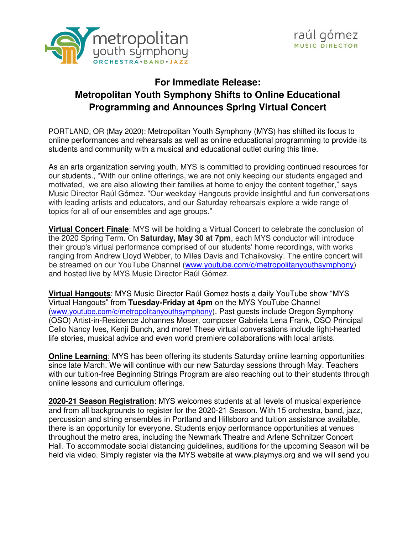



## **For Immediate Release: Metropolitan Youth Symphony Shifts to Online Educational Programming and Announces Spring Virtual Concert**

PORTLAND, OR (May 2020): Metropolitan Youth Symphony (MYS) has shifted its focus to online performances and rehearsals as well as online educational programming to provide its students and community with a musical and educational outlet during this time.

As an arts organization serving youth, MYS is committed to providing continued resources for our students., "With our online offerings, we are not only keeping our students engaged and motivated, we are also allowing their families at home to enjoy the content together," says Music Director Raúl Gómez. "Our weekday Hangouts provide insightful and fun conversations with leading artists and educators, and our Saturday rehearsals explore a wide range of topics for all of our ensembles and age groups."

**Virtual Concert Finale**: MYS will be holding a Virtual Concert to celebrate the conclusion of the 2020 Spring Term. On **Saturday, May 30 at 7pm**, each MYS conductor will introduce their group's virtual performance comprised of our students' home recordings, with works ranging from Andrew Lloyd Webber, to Miles Davis and Tchaikovsky. The entire concert will be streamed on our YouTube Channel [\(www.youtube.com/c/metropolitanyouthsymphony\)](http://www.youtube.com/c/metropolitanyouthsymphony) and hosted live by MYS Music Director Raúl Gómez.

**Virtual Hangouts**: MYS Music Director Raúl Gomez hosts a daily YouTube show "MYS Virtual Hangouts" from **Tuesday-Friday at 4pm** on the MYS YouTube Channel ([www.youtube.com/c/metropolitanyouthsymphony\)](http://www.youtube.com/c/metropolitanyouthsymphony). Past guests include Oregon Symphony (OSO) Artist-in-Residence Johannes Moser, composer Gabriela Lena Frank, OSO Principal Cello Nancy Ives, Kenji Bunch, and more! These virtual conversations include light-hearted life stories, musical advice and even world premiere collaborations with local artists.

**Online Learning**: MYS has been offering its students Saturday online learning opportunities since late March. We will continue with our new Saturday sessions through May. Teachers with our tuition-free Beginning Strings Program are also reaching out to their students through online lessons and curriculum offerings.

**2020-21 Season Registration**: MYS welcomes students at all levels of musical experience and from all backgrounds to register for the 2020-21 Season. With 15 orchestra, band, jazz, percussion and string ensembles in Portland and Hillsboro and tuition assistance available, there is an opportunity for everyone. Students enjoy performance opportunities at venues throughout the metro area, including the Newmark Theatre and Arlene Schnitzer Concert Hall. To accommodate social distancing guidelines, auditions for the upcoming Season will be held via video. Simply register via the MYS website at www.playmys.org and we will send you